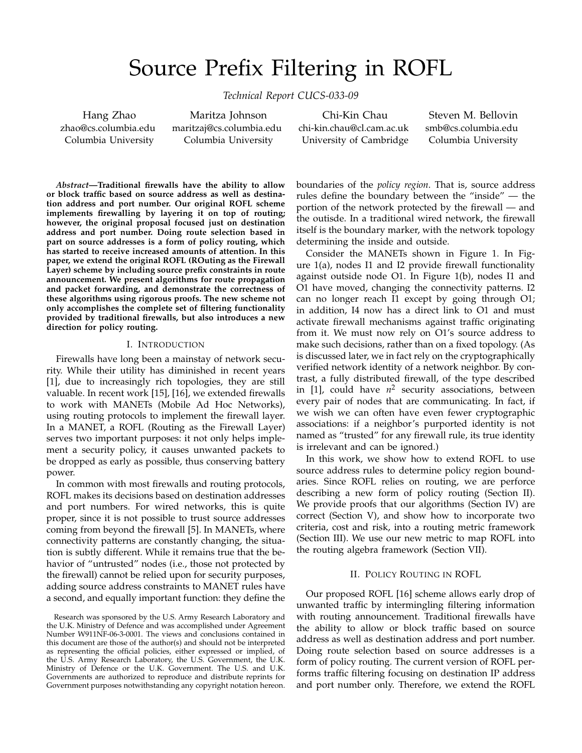# Source Prefix Filtering in ROFL

*Technical Report CUCS-033-09*

Hang Zhao zhao@cs.columbia.edu Columbia University

Maritza Johnson maritzaj@cs.columbia.edu Columbia University

Chi-Kin Chau chi-kin.chau@cl.cam.ac.uk University of Cambridge

Steven M. Bellovin smb@cs.columbia.edu Columbia University

*Abstract***—Traditional firewalls have the ability to allow or block traffic based on source address as well as destination address and port number. Our original ROFL scheme implements firewalling by layering it on top of routing; however, the original proposal focused just on destination address and port number. Doing route selection based in part on source addresses is a form of policy routing, which has started to receive increased amounts of attention. In this paper, we extend the original ROFL (ROuting as the Firewall Layer) scheme by including source prefix constraints in route announcement. We present algorithms for route propagation and packet forwarding, and demonstrate the correctness of these algorithms using rigorous proofs. The new scheme not only accomplishes the complete set of filtering functionality provided by traditional firewalls, but also introduces a new direction for policy routing.**

## I. INTRODUCTION

Firewalls have long been a mainstay of network security. While their utility has diminished in recent years [1], due to increasingly rich topologies, they are still valuable. In recent work [15], [16], we extended firewalls to work with MANETs (Mobile Ad Hoc Networks), using routing protocols to implement the firewall layer. In a MANET, a ROFL (Routing as the Firewall Layer) serves two important purposes: it not only helps implement a security policy, it causes unwanted packets to be dropped as early as possible, thus conserving battery power.

In common with most firewalls and routing protocols, ROFL makes its decisions based on destination addresses and port numbers. For wired networks, this is quite proper, since it is not possible to trust source addresses coming from beyond the firewall [5]. In MANETs, where connectivity patterns are constantly changing, the situation is subtly different. While it remains true that the behavior of "untrusted" nodes (i.e., those not protected by the firewall) cannot be relied upon for security purposes, adding source address constraints to MANET rules have a second, and equally important function: they define the

Research was sponsored by the U.S. Army Research Laboratory and the U.K. Ministry of Defence and was accomplished under Agreement Number W911NF-06-3-0001. The views and conclusions contained in this document are those of the author(s) and should not be interpreted as representing the official policies, either expressed or implied, of the U.S. Army Research Laboratory, the U.S. Government, the U.K. Ministry of Defence or the U.K. Government. The U.S. and U.K. Governments are authorized to reproduce and distribute reprints for Government purposes notwithstanding any copyright notation hereon. boundaries of the *policy region*. That is, source address rules define the boundary between the "inside" — the portion of the network protected by the firewall — and the outisde. In a traditional wired network, the firewall itself is the boundary marker, with the network topology determining the inside and outside.

Consider the MANETs shown in Figure 1. In Figure 1(a), nodes I1 and I2 provide firewall functionality against outside node O1. In Figure 1(b), nodes I1 and O1 have moved, changing the connectivity patterns. I2 can no longer reach I1 except by going through O1; in addition, I4 now has a direct link to O1 and must activate firewall mechanisms against traffic originating from it. We must now rely on O1's source address to make such decisions, rather than on a fixed topology. (As is discussed later, we in fact rely on the cryptographically verified network identity of a network neighbor. By contrast, a fully distributed firewall, of the type described in  $[1]$ , could have  $n^2$  security associations, between every pair of nodes that are communicating. In fact, if we wish we can often have even fewer cryptographic associations: if a neighbor's purported identity is not named as "trusted" for any firewall rule, its true identity is irrelevant and can be ignored.)

In this work, we show how to extend ROFL to use source address rules to determine policy region boundaries. Since ROFL relies on routing, we are perforce describing a new form of policy routing (Section II). We provide proofs that our algorithms (Section IV) are correct (Section V), and show how to incorporate two criteria, cost and risk, into a routing metric framework (Section III). We use our new metric to map ROFL into the routing algebra framework (Section VII).

## II. POLICY ROUTING IN ROFL

Our proposed ROFL [16] scheme allows early drop of unwanted traffic by intermingling filtering information with routing announcement. Traditional firewalls have the ability to allow or block traffic based on source address as well as destination address and port number. Doing route selection based on source addresses is a form of policy routing. The current version of ROFL performs traffic filtering focusing on destination IP address and port number only. Therefore, we extend the ROFL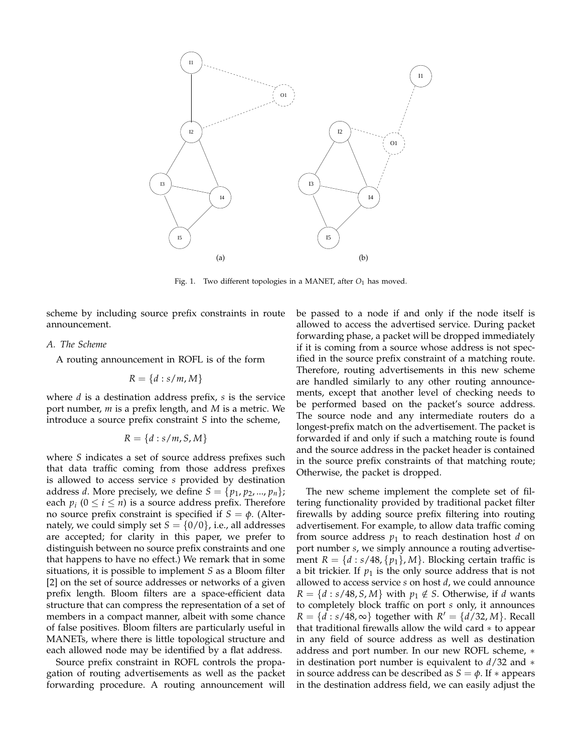

Fig. 1. Two different topologies in a MANET, after  $O_1$  has moved.

scheme by including source prefix constraints in route announcement.

## *A. The Scheme*

A routing announcement in ROFL is of the form

$$
R = \{d : s/m, M\}
$$

where *d* is a destination address prefix, *s* is the service port number, *m* is a prefix length, and *M* is a metric. We introduce a source prefix constraint *S* into the scheme,

$$
R = \{d : s/m, S, M\}
$$

where *S* indicates a set of source address prefixes such that data traffic coming from those address prefixes is allowed to access service *s* provided by destination address *d*. More precisely, we define  $S = \{p_1, p_2, ..., p_n\}$ ; each  $p_i$  ( $0 \le i \le n$ ) is a source address prefix. Therefore no source prefix constraint is specified if  $S = \phi$ . (Alternately, we could simply set  $S = \{0/0\}$ , i.e., all addresses are accepted; for clarity in this paper, we prefer to distinguish between no source prefix constraints and one that happens to have no effect.) We remark that in some situations, it is possible to implement *S* as a Bloom filter [2] on the set of source addresses or networks of a given prefix length. Bloom filters are a space-efficient data structure that can compress the representation of a set of members in a compact manner, albeit with some chance of false positives. Bloom filters are particularly useful in MANETs, where there is little topological structure and each allowed node may be identified by a flat address.

Source prefix constraint in ROFL controls the propagation of routing advertisements as well as the packet forwarding procedure. A routing announcement will

be passed to a node if and only if the node itself is allowed to access the advertised service. During packet forwarding phase, a packet will be dropped immediately if it is coming from a source whose address is not specified in the source prefix constraint of a matching route. Therefore, routing advertisements in this new scheme are handled similarly to any other routing announcements, except that another level of checking needs to be performed based on the packet's source address. The source node and any intermediate routers do a longest-prefix match on the advertisement. The packet is forwarded if and only if such a matching route is found and the source address in the packet header is contained in the source prefix constraints of that matching route; Otherwise, the packet is dropped.

The new scheme implement the complete set of filtering functionality provided by traditional packet filter firewalls by adding source prefix filtering into routing advertisement. For example, to allow data traffic coming from source address  $p_1$  to reach destination host  $d$  on port number *s*, we simply announce a routing advertisement  $R = \{d : s/48, \{p_1\}, M\}$ . Blocking certain traffic is a bit trickier. If  $p_1$  is the only source address that is not allowed to access service *s* on host *d*, we could announce  $R = \{d : s/48, S, M\}$  with  $p_1 \notin S$ . Otherwise, if *d* wants to completely block traffic on port *s* only, it announces *R* = { $d$  : *s*/48, ∞} together with *R*<sup>'</sup> = { $d$ /32, *M*}. Recall that traditional firewalls allow the wild card ∗ to appear in any field of source address as well as destination address and port number. In our new ROFL scheme, ∗ in destination port number is equivalent to *d*/32 and ∗ in source address can be described as  $S = \phi$ . If  $*$  appears in the destination address field, we can easily adjust the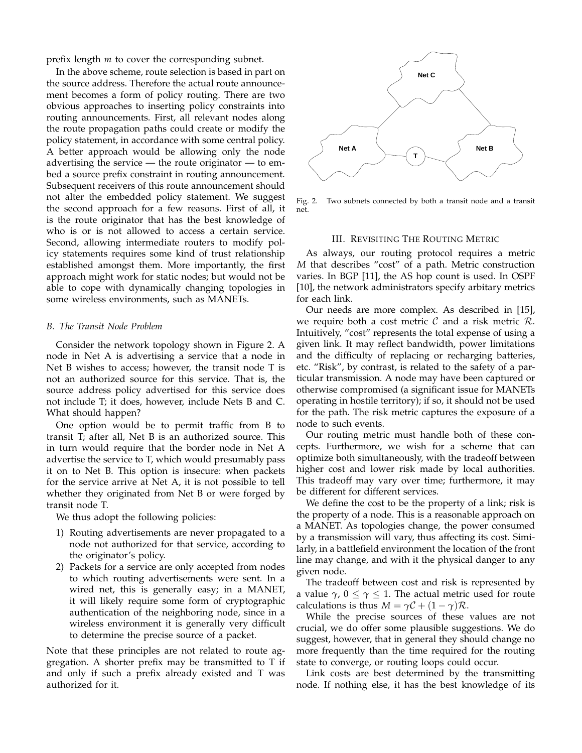prefix length *m* to cover the corresponding subnet.

In the above scheme, route selection is based in part on the source address. Therefore the actual route announcement becomes a form of policy routing. There are two obvious approaches to inserting policy constraints into routing announcements. First, all relevant nodes along the route propagation paths could create or modify the policy statement, in accordance with some central policy. A better approach would be allowing only the node advertising the service — the route originator — to embed a source prefix constraint in routing announcement. Subsequent receivers of this route announcement should not alter the embedded policy statement. We suggest the second approach for a few reasons. First of all, it is the route originator that has the best knowledge of who is or is not allowed to access a certain service. Second, allowing intermediate routers to modify policy statements requires some kind of trust relationship established amongst them. More importantly, the first approach might work for static nodes; but would not be able to cope with dynamically changing topologies in some wireless environments, such as MANETs.

## *B. The Transit Node Problem*

Consider the network topology shown in Figure 2. A node in Net A is advertising a service that a node in Net B wishes to access; however, the transit node T is not an authorized source for this service. That is, the source address policy advertised for this service does not include T; it does, however, include Nets B and C. What should happen?

One option would be to permit traffic from B to transit T; after all, Net B is an authorized source. This in turn would require that the border node in Net A advertise the service to T, which would presumably pass it on to Net B. This option is insecure: when packets for the service arrive at Net A, it is not possible to tell whether they originated from Net B or were forged by transit node T.

We thus adopt the following policies:

- 1) Routing advertisements are never propagated to a node not authorized for that service, according to the originator's policy.
- 2) Packets for a service are only accepted from nodes to which routing advertisements were sent. In a wired net, this is generally easy; in a MANET, it will likely require some form of cryptographic authentication of the neighboring node, since in a wireless environment it is generally very difficult to determine the precise source of a packet.

Note that these principles are not related to route aggregation. A shorter prefix may be transmitted to T if and only if such a prefix already existed and T was authorized for it.



Fig. 2. Two subnets connected by both a transit node and a transit net.

## III. REVISITING THE ROUTING METRIC

As always, our routing protocol requires a metric *M* that describes "cost" of a path. Metric construction varies. In BGP [11], the AS hop count is used. In OSPF [10], the network administrators specify arbitary metrics for each link.

Our needs are more complex. As described in [15], we require both a cost metric  $\mathcal C$  and a risk metric  $\mathcal R$ . Intuitively, "cost" represents the total expense of using a given link. It may reflect bandwidth, power limitations and the difficulty of replacing or recharging batteries, etc. "Risk", by contrast, is related to the safety of a particular transmission. A node may have been captured or otherwise compromised (a significant issue for MANETs operating in hostile territory); if so, it should not be used for the path. The risk metric captures the exposure of a node to such events.

Our routing metric must handle both of these concepts. Furthermore, we wish for a scheme that can optimize both simultaneously, with the tradeoff between higher cost and lower risk made by local authorities. This tradeoff may vary over time; furthermore, it may be different for different services.

We define the cost to be the property of a link; risk is the property of a node. This is a reasonable approach on a MANET. As topologies change, the power consumed by a transmission will vary, thus affecting its cost. Similarly, in a battlefield environment the location of the front line may change, and with it the physical danger to any given node.

The tradeoff between cost and risk is represented by a value  $\gamma$ ,  $0 \leq \gamma \leq 1$ . The actual metric used for route calculations is thus  $M = \gamma C + (1 - \gamma)R$ .

While the precise sources of these values are not crucial, we do offer some plausible suggestions. We do suggest, however, that in general they should change no more frequently than the time required for the routing state to converge, or routing loops could occur.

Link costs are best determined by the transmitting node. If nothing else, it has the best knowledge of its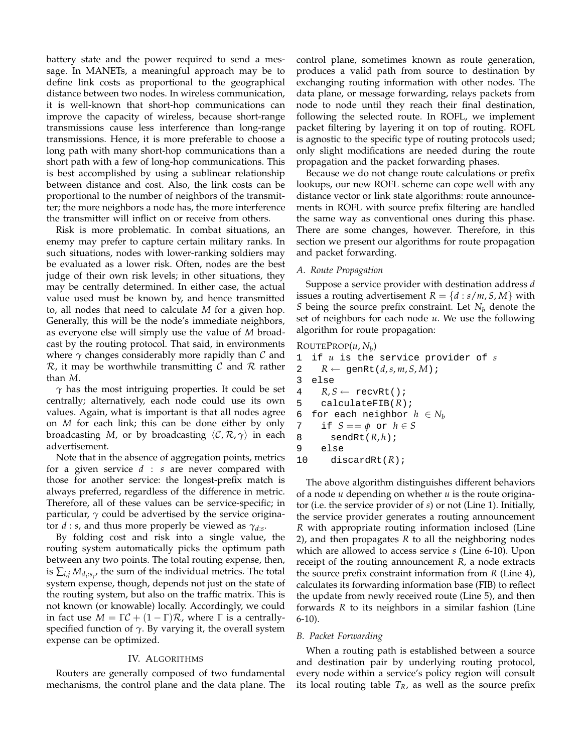battery state and the power required to send a message. In MANETs, a meaningful approach may be to define link costs as proportional to the geographical distance between two nodes. In wireless communication, it is well-known that short-hop communications can improve the capacity of wireless, because short-range transmissions cause less interference than long-range transmissions. Hence, it is more preferable to choose a long path with many short-hop communications than a short path with a few of long-hop communications. This is best accomplished by using a sublinear relationship between distance and cost. Also, the link costs can be proportional to the number of neighbors of the transmitter; the more neighbors a node has, the more interference the transmitter will inflict on or receive from others.

Risk is more problematic. In combat situations, an enemy may prefer to capture certain military ranks. In such situations, nodes with lower-ranking soldiers may be evaluated as a lower risk. Often, nodes are the best judge of their own risk levels; in other situations, they may be centrally determined. In either case, the actual value used must be known by, and hence transmitted to, all nodes that need to calculate *M* for a given hop. Generally, this will be the node's immediate neighbors, as everyone else will simply use the value of *M* broadcast by the routing protocol. That said, in environments where  $\gamma$  changes considerably more rapidly than  $\mathcal C$  and  $\mathcal{R}$ , it may be worthwhile transmitting C and R rather than *M*.

*γ* has the most intriguing properties. It could be set centrally; alternatively, each node could use its own values. Again, what is important is that all nodes agree on *M* for each link; this can be done either by only broadcasting *M*, or by broadcasting hC, R, *γ*i in each advertisement.

Note that in the absence of aggregation points, metrics for a given service *d* : *s* are never compared with those for another service: the longest-prefix match is always preferred, regardless of the difference in metric. Therefore, all of these values can be service-specific; in particular,  $\gamma$  could be advertised by the service originator *d* : *s*, and thus more properly be viewed as  $\gamma_{d:s}$ .

By folding cost and risk into a single value, the routing system automatically picks the optimum path between any two points. The total routing expense, then, is  $\sum_{i,j} M_{d_i : s_j}$ , the sum of the individual metrics. The total system expense, though, depends not just on the state of the routing system, but also on the traffic matrix. This is not known (or knowable) locally. Accordingly, we could in fact use  $M = \Gamma C + (1 - \Gamma)R$ , where  $\Gamma$  is a centrallyspecified function of  $\gamma$ . By varying it, the overall system expense can be optimized.

## IV. ALGORITHMS

Routers are generally composed of two fundamental mechanisms, the control plane and the data plane. The control plane, sometimes known as route generation, produces a valid path from source to destination by exchanging routing information with other nodes. The data plane, or message forwarding, relays packets from node to node until they reach their final destination, following the selected route. In ROFL, we implement packet filtering by layering it on top of routing. ROFL is agnostic to the specific type of routing protocols used; only slight modifications are needed during the route propagation and the packet forwarding phases.

Because we do not change route calculations or prefix lookups, our new ROFL scheme can cope well with any distance vector or link state algorithms: route announcements in ROFL with source prefix filtering are handled the same way as conventional ones during this phase. There are some changes, however. Therefore, in this section we present our algorithms for route propagation and packet forwarding.

## *A. Route Propagation*

Suppose a service provider with destination address *d* issues a routing advertisement  $R = \{d : s/m, S, M\}$  with *S* being the source prefix constraint. Let  $N_b$  denote the set of neighbors for each node *u*. We use the following algorithm for route propagation:

# ROUTEPROP(*u*, *N<sup>b</sup>* )

```
1 if u is the service provider of s
2 R \leftarrow \text{genRt}(d, s, m, S, M);3 else
4 R, S \leftarrow \text{recvRt}();
5 calculateFIB(R);
6 for each neighbor h \in N_b<br>7 if S == \phi or h \in Sif S == \phi or h \in S8 sendRt(R, h);
9 else
10 discardRt(R);
```
The above algorithm distinguishes different behaviors of a node *u* depending on whether *u* is the route originator (i.e. the service provider of *s*) or not (Line 1). Initially, the service provider generates a routing announcement *R* with appropriate routing information inclosed (Line 2), and then propagates *R* to all the neighboring nodes which are allowed to access service *s* (Line 6-10). Upon receipt of the routing announcement *R*, a node extracts the source prefix constraint information from *R* (Line 4), calculates its forwarding information base (FIB) to reflect the update from newly received route (Line 5), and then forwards *R* to its neighbors in a similar fashion (Line 6-10).

## *B. Packet Forwarding*

When a routing path is established between a source and destination pair by underlying routing protocol, every node within a service's policy region will consult its local routing table *TR*, as well as the source prefix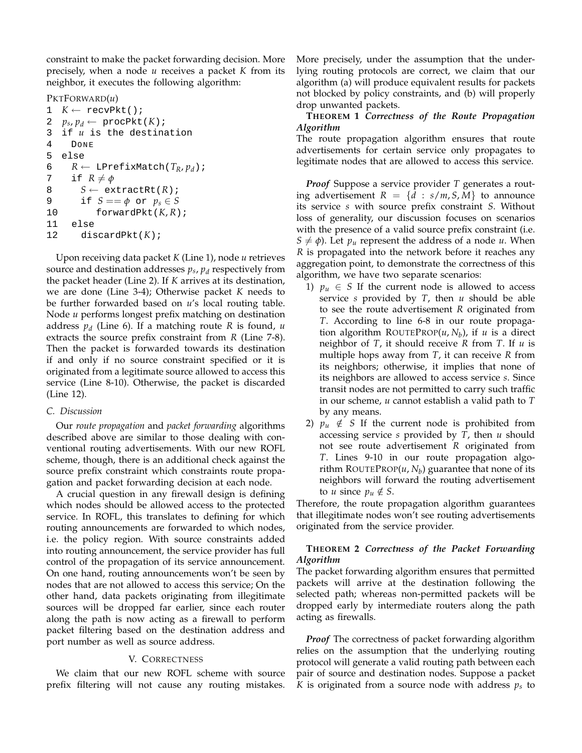constraint to make the packet forwarding decision. More precisely, when a node *u* receives a packet *K* from its neighbor, it executes the following algorithm:

PKTFORWARD(*u*)

```
1 K \leftarrow \text{recvPkt}()2 p_s, p_d \leftarrow \text{procPkt}(K);
3 if u is the destination
4 DONE
5 else
6 R \leftarrow \text{LPrefixMatch}(T_R, p_d);<br>7 if R \neq \emptysetif R \neq \phi8 S \leftarrow extractRt(R);
9 if S == \phi or p_s \in S10 forwardPkt(K, R);
11 else
12 discardPkt(K);
```
Upon receiving data packet *K* (Line 1), node *u* retrieves source and destination addresses *ps*, *p<sup>d</sup>* respectively from the packet header (Line 2). If *K* arrives at its destination, we are done (Line 3-4); Otherwise packet *K* needs to be further forwarded based on *u*'s local routing table. Node *u* performs longest prefix matching on destination address *p<sup>d</sup>* (Line 6). If a matching route *R* is found, *u* extracts the source prefix constraint from *R* (Line 7-8). Then the packet is forwarded towards its destination if and only if no source constraint specified or it is originated from a legitimate source allowed to access this service (Line 8-10). Otherwise, the packet is discarded (Line 12).

## *C. Discussion*

Our *route propagation* and *packet forwarding* algorithms described above are similar to those dealing with conventional routing advertisements. With our new ROFL scheme, though, there is an additional check against the source prefix constraint which constraints route propagation and packet forwarding decision at each node.

A crucial question in any firewall design is defining which nodes should be allowed access to the protected service. In ROFL, this translates to defining for which routing announcements are forwarded to which nodes, i.e. the policy region. With source constraints added into routing announcement, the service provider has full control of the propagation of its service announcement. On one hand, routing announcements won't be seen by nodes that are not allowed to access this service; On the other hand, data packets originating from illegitimate sources will be dropped far earlier, since each router along the path is now acting as a firewall to perform packet filtering based on the destination address and port number as well as source address.

# V. CORRECTNESS

We claim that our new ROFL scheme with source prefix filtering will not cause any routing mistakes. More precisely, under the assumption that the underlying routing protocols are correct, we claim that our algorithm (a) will produce equivalent results for packets not blocked by policy constraints, and (b) will properly drop unwanted packets.

## **THEOREM 1** *Correctness of the Route Propagation Algorithm*

The route propagation algorithm ensures that route advertisements for certain service only propagates to legitimate nodes that are allowed to access this service.

*Proof* Suppose a service provider *T* generates a routing advertisement  $R = \{d : s/m, S, M\}$  to announce its service *s* with source prefix constraint *S*. Without loss of generality, our discussion focuses on scenarios with the presence of a valid source prefix constraint (i.e.  $S \neq \phi$ ). Let  $p_u$  represent the address of a node *u*. When *R* is propagated into the network before it reaches any aggregation point, to demonstrate the correctness of this algorithm, we have two separate scenarios:

- 1)  $p_u \in S$  If the current node is allowed to access service *s* provided by *T*, then *u* should be able to see the route advertisement *R* originated from *T*. According to line 6-8 in our route propagation algorithm ROUTEPROP(*u*, *N<sup>b</sup>* ), if *u* is a direct neighbor of *T*, it should receive *R* from *T*. If *u* is multiple hops away from *T*, it can receive *R* from its neighbors; otherwise, it implies that none of its neighbors are allowed to access service *s*. Since transit nodes are not permitted to carry such traffic in our scheme, *u* cannot establish a valid path to *T* by any means.
- 2)  $p_u \notin S$  If the current node is prohibited from accessing service *s* provided by *T*, then *u* should not see route advertisement *R* originated from *T*. Lines 9-10 in our route propagation algorithm ROUTEPROP(*u*, *N<sup>b</sup>* ) guarantee that none of its neighbors will forward the routing advertisement to *u* since  $p_u \notin S$ .

Therefore, the route propagation algorithm guarantees that illegitimate nodes won't see routing advertisements originated from the service provider.

## **THEOREM 2** *Correctness of the Packet Forwarding Algorithm*

The packet forwarding algorithm ensures that permitted packets will arrive at the destination following the selected path; whereas non-permitted packets will be dropped early by intermediate routers along the path acting as firewalls.

*Proof* The correctness of packet forwarding algorithm relies on the assumption that the underlying routing protocol will generate a valid routing path between each pair of source and destination nodes. Suppose a packet *K* is originated from a source node with address *ps* to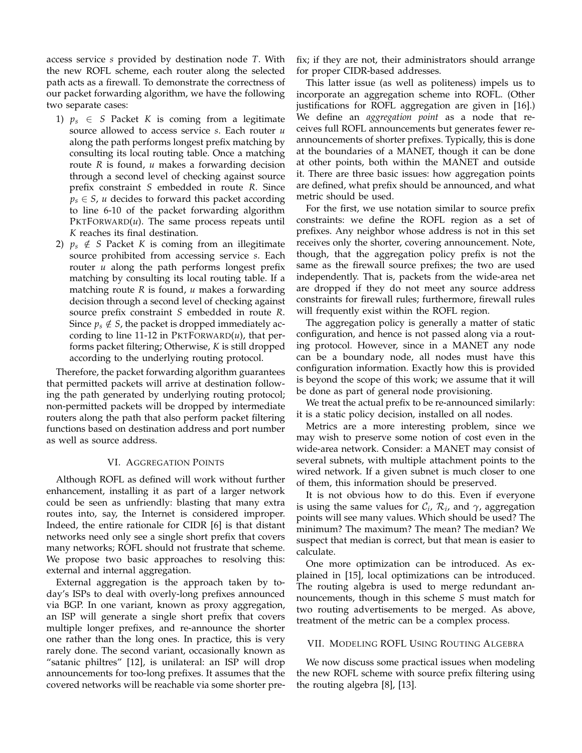access service *s* provided by destination node *T*. With the new ROFL scheme, each router along the selected path acts as a firewall. To demonstrate the correctness of our packet forwarding algorithm, we have the following two separate cases:

- 1)  $p_s \in S$  Packet K is coming from a legitimate source allowed to access service *s*. Each router *u* along the path performs longest prefix matching by consulting its local routing table. Once a matching route *R* is found, *u* makes a forwarding decision through a second level of checking against source prefix constraint *S* embedded in route *R*. Since  $p_s \in S$ , *u* decides to forward this packet according to line 6-10 of the packet forwarding algorithm  $PKTFORMARD(u)$ . The same process repeats until *K* reaches its final destination.
- 2)  $p_s \notin S$  Packet *K* is coming from an illegitimate source prohibited from accessing service *s*. Each router *u* along the path performs longest prefix matching by consulting its local routing table. If a matching route *R* is found, *u* makes a forwarding decision through a second level of checking against source prefix constraint *S* embedded in route *R*. Since  $p_s \notin S$ , the packet is dropped immediately according to line 11-12 in PKTFORWARD(*u*), that performs packet filtering; Otherwise, *K* is still dropped according to the underlying routing protocol.

Therefore, the packet forwarding algorithm guarantees that permitted packets will arrive at destination following the path generated by underlying routing protocol; non-permitted packets will be dropped by intermediate routers along the path that also perform packet filtering functions based on destination address and port number as well as source address.

## VI. AGGREGATION POINTS

Although ROFL as defined will work without further enhancement, installing it as part of a larger network could be seen as unfriendly: blasting that many extra routes into, say, the Internet is considered improper. Indeed, the entire rationale for CIDR [6] is that distant networks need only see a single short prefix that covers many networks; ROFL should not frustrate that scheme. We propose two basic approaches to resolving this: external and internal aggregation.

External aggregation is the approach taken by today's ISPs to deal with overly-long prefixes announced via BGP. In one variant, known as proxy aggregation, an ISP will generate a single short prefix that covers multiple longer prefixes, and re-announce the shorter one rather than the long ones. In practice, this is very rarely done. The second variant, occasionally known as "satanic philtres" [12], is unilateral: an ISP will drop announcements for too-long prefixes. It assumes that the covered networks will be reachable via some shorter prefix; if they are not, their administrators should arrange for proper CIDR-based addresses.

This latter issue (as well as politeness) impels us to incorporate an aggregation scheme into ROFL. (Other justifications for ROFL aggregation are given in [16].) We define an *aggregation point* as a node that receives full ROFL announcements but generates fewer reannouncements of shorter prefixes. Typically, this is done at the boundaries of a MANET, though it can be done at other points, both within the MANET and outside it. There are three basic issues: how aggregation points are defined, what prefix should be announced, and what metric should be used.

For the first, we use notation similar to source prefix constraints: we define the ROFL region as a set of prefixes. Any neighbor whose address is not in this set receives only the shorter, covering announcement. Note, though, that the aggregation policy prefix is not the same as the firewall source prefixes; the two are used independently. That is, packets from the wide-area net are dropped if they do not meet any source address constraints for firewall rules; furthermore, firewall rules will frequently exist within the ROFL region.

The aggregation policy is generally a matter of static configuration, and hence is not passed along via a routing protocol. However, since in a MANET any node can be a boundary node, all nodes must have this configuration information. Exactly how this is provided is beyond the scope of this work; we assume that it will be done as part of general node provisioning.

We treat the actual prefix to be re-announced similarly: it is a static policy decision, installed on all nodes.

Metrics are a more interesting problem, since we may wish to preserve some notion of cost even in the wide-area network. Consider: a MANET may consist of several subnets, with multiple attachment points to the wired network. If a given subnet is much closer to one of them, this information should be preserved.

It is not obvious how to do this. Even if everyone is using the same values for  $\mathcal{C}_i$ ,  $\mathcal{R}_i$ , and  $\gamma$ , aggregation points will see many values. Which should be used? The minimum? The maximum? The mean? The median? We suspect that median is correct, but that mean is easier to calculate.

One more optimization can be introduced. As explained in [15], local optimizations can be introduced. The routing algebra is used to merge redundant announcements, though in this scheme *S* must match for two routing advertisements to be merged. As above, treatment of the metric can be a complex process.

## VII. MODELING ROFL USING ROUTING ALGEBRA

We now discuss some practical issues when modeling the new ROFL scheme with source prefix filtering using the routing algebra [8], [13].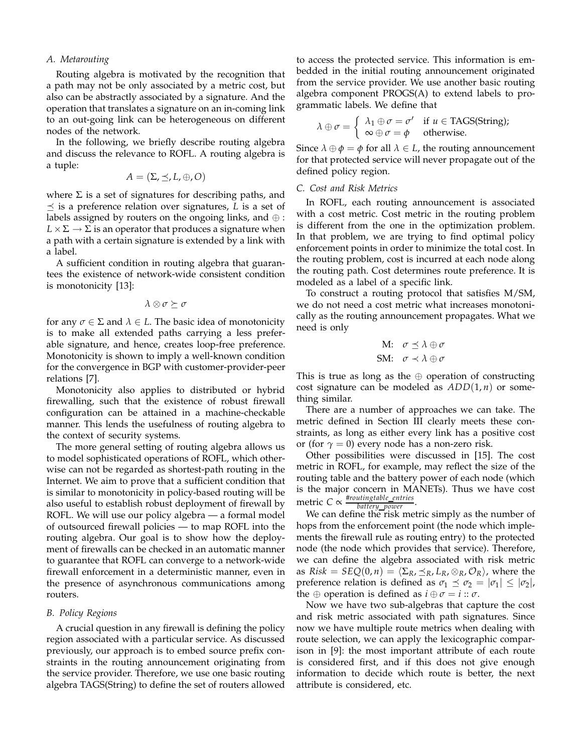## *A. Metarouting*

Routing algebra is motivated by the recognition that a path may not be only associated by a metric cost, but also can be abstractly associated by a signature. And the operation that translates a signature on an in-coming link to an out-going link can be heterogeneous on different nodes of the network.

In the following, we briefly describe routing algebra and discuss the relevance to ROFL. A routing algebra is a tuple:

$$
A = (\Sigma, \preceq, L, \oplus, O)
$$

where  $\Sigma$  is a set of signatures for describing paths, and  $\preceq$  is a preference relation over signatures, *L* is a set of labels assigned by routers on the ongoing links, and  $\oplus$ :  $L \times \Sigma \rightarrow \Sigma$  is an operator that produces a signature when a path with a certain signature is extended by a link with a label.

A sufficient condition in routing algebra that guarantees the existence of network-wide consistent condition is monotonicity [13]:

$$
\lambda \otimes \sigma \succeq \sigma
$$

for any  $\sigma \in \Sigma$  and  $\lambda \in L$ . The basic idea of monotonicity is to make all extended paths carrying a less preferable signature, and hence, creates loop-free preference. Monotonicity is shown to imply a well-known condition for the convergence in BGP with customer-provider-peer relations [7].

Monotonicity also applies to distributed or hybrid firewalling, such that the existence of robust firewall configuration can be attained in a machine-checkable manner. This lends the usefulness of routing algebra to the context of security systems.

The more general setting of routing algebra allows us to model sophisticated operations of ROFL, which otherwise can not be regarded as shortest-path routing in the Internet. We aim to prove that a sufficient condition that is similar to monotonicity in policy-based routing will be also useful to establish robust deployment of firewall by ROFL. We will use our policy algebra — a formal model of outsourced firewall policies — to map ROFL into the routing algebra. Our goal is to show how the deployment of firewalls can be checked in an automatic manner to guarantee that ROFL can converge to a network-wide firewall enforcement in a deterministic manner, even in the presence of asynchronous communications among routers.

#### *B. Policy Regions*

A crucial question in any firewall is defining the policy region associated with a particular service. As discussed previously, our approach is to embed source prefix constraints in the routing announcement originating from the service provider. Therefore, we use one basic routing algebra TAGS(String) to define the set of routers allowed

to access the protected service. This information is embedded in the initial routing announcement originated from the service provider. We use another basic routing algebra component PROGS(A) to extend labels to programmatic labels. We define that

$$
\lambda \oplus \sigma = \begin{cases} \lambda_1 \oplus \sigma = \sigma' & \text{if } u \in \text{TAGS}(\text{String}); \\ \infty \oplus \sigma = \phi & \text{otherwise.} \end{cases}
$$

Since  $\lambda \oplus \phi = \phi$  for all  $\lambda \in L$ , the routing announcement for that protected service will never propagate out of the defined policy region.

## *C. Cost and Risk Metrics*

In ROFL, each routing announcement is associated with a cost metric. Cost metric in the routing problem is different from the one in the optimization problem. In that problem, we are trying to find optimal policy enforcement points in order to minimize the total cost. In the routing problem, cost is incurred at each node along the routing path. Cost determines route preference. It is modeled as a label of a specific link.

To construct a routing protocol that satisfies M/SM, we do not need a cost metric what increases monotonically as the routing announcement propagates. What we need is only

$$
\begin{array}{ll}\n\text{M:} & \sigma \preceq \lambda \oplus \sigma \\
\text{SM:} & \sigma \prec \lambda \oplus \sigma\n\end{array}
$$

This is true as long as the  $oplus$  operation of constructing cost signature can be modeled as *ADD*(1, *n*) or something similar.

There are a number of approaches we can take. The metric defined in Section III clearly meets these constraints, as long as either every link has a positive cost or (for  $\gamma = 0$ ) every node has a non-zero risk.

Other possibilities were discussed in [15]. The cost metric in ROFL, for example, may reflect the size of the routing table and the battery power of each node (which is the major concern in MANETs). Thus we have cost  $\text{metric } C \propto \frac{\text{#routing table\_entries}}{\text{battery\_power}}.$ 

We can define the risk metric simply as the number of hops from the enforcement point (the node which implements the firewall rule as routing entry) to the protected node (the node which provides that service). Therefore, we can define the algebra associated with risk metric as  $Risk = SEQ(0, n) = \langle \Sigma_R, \preceq_R, L_R, \otimes_R, \mathcal{O}_R \rangle$ , where the preference relation is defined as  $\sigma_1 \preceq \sigma_2 = |\sigma_1| \leq |\sigma_2|$ , the  $\oplus$  operation is defined as  $i \oplus \sigma = i :: \sigma$ .

Now we have two sub-algebras that capture the cost and risk metric associated with path signatures. Since now we have multiple route metrics when dealing with route selection, we can apply the lexicographic comparison in [9]: the most important attribute of each route is considered first, and if this does not give enough information to decide which route is better, the next attribute is considered, etc.